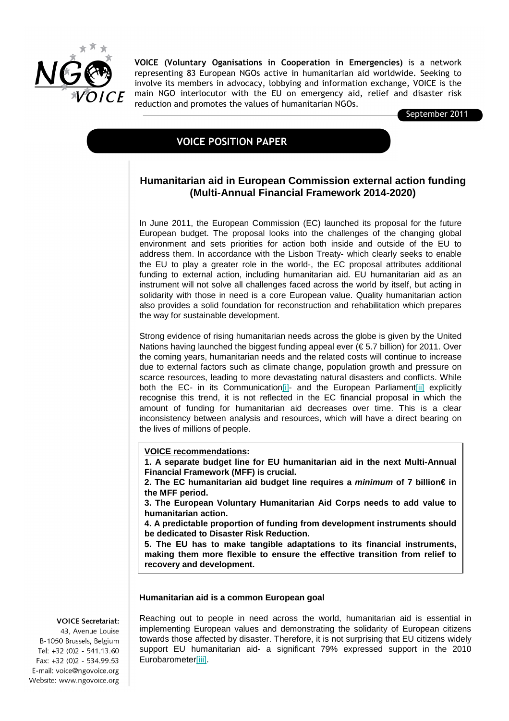

VOICE (Voluntary Oganisations in Cooperation in Emergencies) is a network representing 83 European NGOs active in humanitarian aid worldwide. Seeking to involve its members in advocacy, lobbying and information exchange, VOICE is the main NGO interlocutor with the EU on emergency aid, relief and disaster risk reduction and promotes the values of humanitarian NGOs.

September 2011

# VOICE POSITION PAPER

## **Humanitarian aid in European Commission external action funding (Multi-Annual Financial Framework 2014-2020)**

In June 2011, the European Commission (EC) launched its proposal for the future European budget. The proposal looks into the challenges of the changing global environment and sets priorities for action both inside and outside of the EU to address them. In accordance with the Lisbon Treaty- which clearly seeks to enable the EU to play a greater role in the world-, the EC proposal attributes additional funding to external action, including humanitarian aid. EU humanitarian aid as an instrument will not solve all challenges faced across the world by itself, but acting in solidarity with those in need is a core European value. Quality humanitarian action also provides a solid foundation for reconstruction and rehabilitation which prepares the way for sustainable development.

Strong evidence of rising humanitarian needs across the globe is given by the United Nations having launched the biggest funding appeal ever ( $\epsilon$  5.7 billion) for 2011. Over the coming years, humanitarian needs and the related costs will continue to increase due to external factors such as climate change, population growth and pressure on scarce resources, leading to more devastating natural disasters and conflicts. While both the EC- in its Communication[i]- and the European Parliament[ii] explicitly recognise this trend, it is not reflected in the EC financial proposal in which the amount of funding for humanitarian aid decreases over time. This is a clear inconsistency between analysis and resources, which will have a direct bearing on the lives of millions of people.

**VOICE recommendations:**

**1. A separate budget line for EU humanitarian aid in the next Multi-Annual Financial Framework (MFF) is crucial.**

**2. The EC humanitarian aid budget line requires a minimum of 7 billion€ in the MFF period.**

**3. The European Voluntary Humanitarian Aid Corps needs to add value to humanitarian action.**

**4. A predictable proportion of funding from development instruments should be dedicated to Disaster Risk Reduction.**

**5. The EU has to make tangible adaptations to its financial instruments, making them more flexible to ensure the effective transition from relief to recovery and development.**

### **Humanitarian aid is a common European goal**

#### **VOICE Secretariat:**

43, Avenue Louise B-1050 Brussels, Belgium Tel: +32 (0)2 - 541.13.60 Fax: +32 (0)2 - 534.99.53 E-mail: voice@ngovoice.org Website: www.ngovoice.org Reaching out to people in need across the world, humanitarian aid is essential in implementing European values and demonstrating the solidarity of European citizens towards those affected by disaster. Therefore, it is not surprising that EU citizens widely support EU humanitarian aid- a significant 79% expressed support in the 2010 Eurobarometer[iii].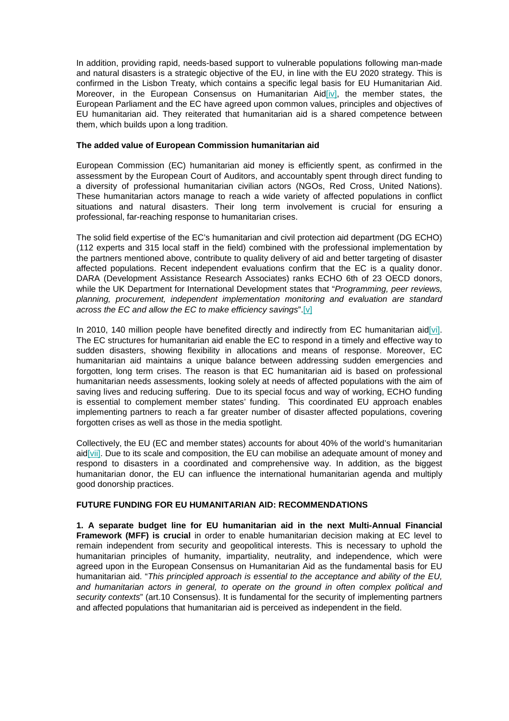In addition, providing rapid, needs-based support to vulnerable populations following man-made and natural disasters is a strategic objective of the EU, in line with the EU 2020 strategy. This is confirmed in the Lisbon Treaty, which contains a specific legal basis for EU Humanitarian Aid. Moreover, in the European Consensus on Humanitarian Aid $\overline{[iv]}$ , the member states, the European Parliament and the EC have agreed upon common values, principles and objectives of EU humanitarian aid. They reiterated that humanitarian aid is a shared competence between them, which builds upon a long tradition.

## **The added value of European Commission humanitarian aid**

European Commission (EC) humanitarian aid money is efficiently spent, as confirmed in the assessment by the European Court of Auditors, and accountably spent through direct funding to a diversity of professional humanitarian civilian actors (NGOs, Red Cross, United Nations). These humanitarian actors manage to reach a wide variety of affected populations in conflict situations and natural disasters. Their long term involvement is crucial for ensuring a professional, far-reaching response to humanitarian crises.

The solid field expertise of the EC's humanitarian and civil protection aid department (DG ECHO) (112 experts and 315 local staff in the field) combined with the professional implementation by the partners mentioned above, contribute to quality delivery of aid and better targeting of disaster affected populations. Recent independent evaluations confirm that the EC is a quality donor. DARA (Development Assistance Research Associates) ranks ECHO 6th of 23 OECD donors, while the UK Department for International Development states that "Programming, peer reviews, planning, procurement, independent implementation monitoring and evaluation are standard across the EC and allow the EC to make efficiency savings".[ $v$ ]

In 2010, 140 million people have benefited directly and indirectly from EC humanitarian aid[vi]. The EC structures for humanitarian aid enable the EC to respond in a timely and effective way to sudden disasters, showing flexibility in allocations and means of response. Moreover, EC humanitarian aid maintains a unique balance between addressing sudden emergencies and forgotten, long term crises. The reason is that EC humanitarian aid is based on professional humanitarian needs assessments, looking solely at needs of affected populations with the aim of saving lives and reducing suffering. Due to its special focus and way of working, ECHO funding is essential to complement member states' funding. This coordinated EU approach enables implementing partners to reach a far greater number of disaster affected populations, covering forgotten crises as well as those in the media spotlight.

Collectively, the EU (EC and member states) accounts for about 40% of the world's humanitarian aid[vii]. Due to its scale and composition, the EU can mobilise an adequate amount of money and respond to disasters in a coordinated and comprehensive way. In addition, as the biggest humanitarian donor, the EU can influence the international humanitarian agenda and multiply good donorship practices.

## **FUTURE FUNDING FOR EU HUMANITARIAN AID: RECOMMENDATIONS**

**1. A separate budget line for EU humanitarian aid in the next Multi-Annual Financial Framework (MFF) is crucial** in order to enable humanitarian decision making at EC level to remain independent from security and geopolitical interests. This is necessary to uphold the humanitarian principles of humanity, impartiality, neutrality, and independence, which were agreed upon in the European Consensus on Humanitarian Aid as the fundamental basis for EU humanitarian aid. "This principled approach is essential to the acceptance and ability of the EU, and humanitarian actors in general, to operate on the ground in often complex political and security contexts" (art.10 Consensus). It is fundamental for the security of implementing partners and affected populations that humanitarian aid is perceived as independent in the field.